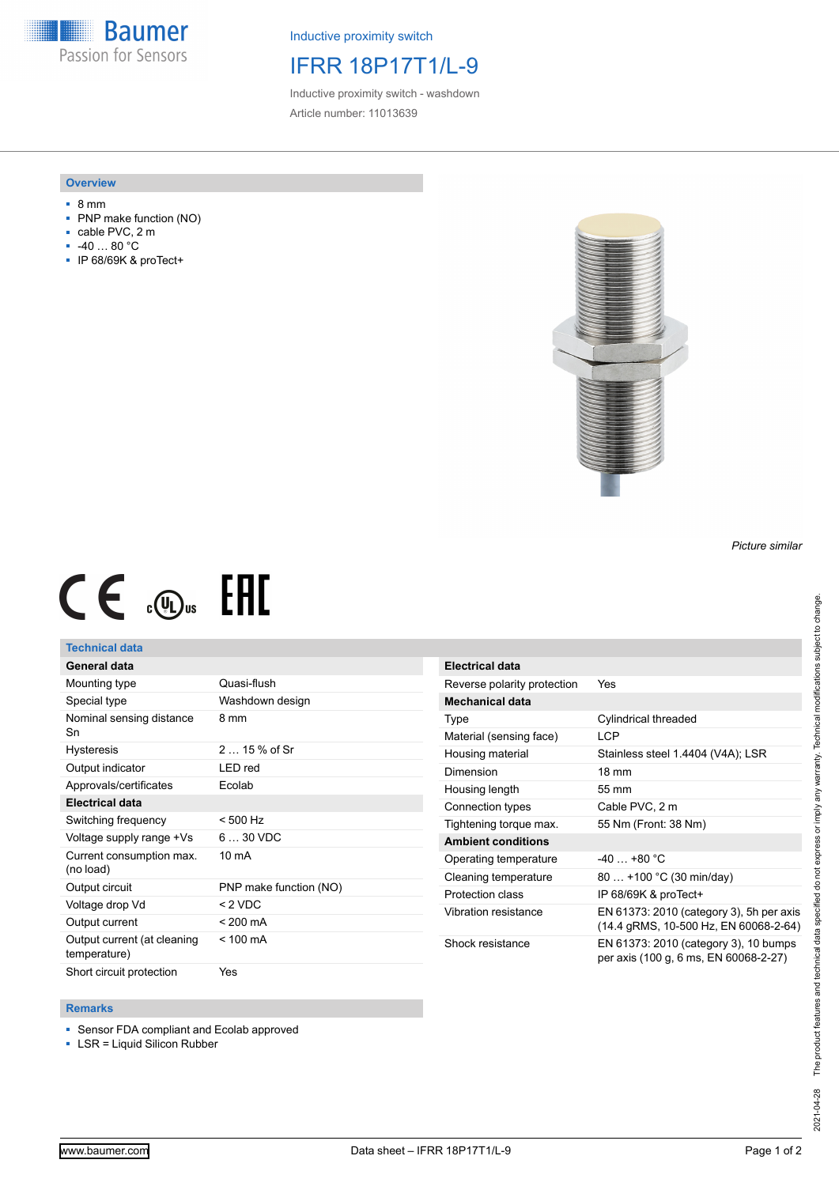**Baumer** Passion for Sensors

Inductive proximity switch

# IFRR 18P17T1/L-9

Inductive proximity switch - washdown Article number: 11013639

#### **Overview**

- 8 mm
- PNP make function (NO)
- cable PVC, 2 m
- -40 … 80 °C
- IP 68/69K & proTect+



# $CE \oplus E$

### **Technical data**

## **General data**

| Mounting type                         | Quasi-flush            |
|---------------------------------------|------------------------|
| Special type                          | Washdown design        |
| Nominal sensing distance<br>Sn        | 8 mm                   |
| <b>Hysteresis</b>                     | $215%$ of Sr           |
| Output indicator                      | LED red                |
| Approvals/certificates                | Ecolab                 |
| <b>Electrical data</b>                |                        |
| Switching frequency                   | $< 500$ Hz             |
| Voltage supply range +Vs              | $630$ VDC              |
| Current consumption max.<br>(no load) | 10 mA                  |
| Output circuit                        | PNP make function (NO) |
| Voltage drop Vd                       | $<$ 2 VDC              |
| Output current                        | $< 200 \text{ mA}$     |
| Output current (at cleaning           | $< 100 \text{ mA}$     |
| temperature)                          |                        |

| <b>Electrical data</b>      |                                                                                   |
|-----------------------------|-----------------------------------------------------------------------------------|
| Reverse polarity protection | Yes                                                                               |
| Mechanical data             |                                                                                   |
| Type                        | Cylindrical threaded                                                              |
| Material (sensing face)     | LCP                                                                               |
| Housing material            | Stainless steel 1.4404 (V4A); LSR                                                 |
| Dimension                   | $18 \text{ mm}$                                                                   |
| Housing length              | 55 mm                                                                             |
| Connection types            | Cable PVC, 2 m                                                                    |
| Tightening torque max.      | 55 Nm (Front: 38 Nm)                                                              |
| <b>Ambient conditions</b>   |                                                                                   |
| Operating temperature       | $-40+80 °C$                                                                       |
| Cleaning temperature        | 80  +100 °C (30 min/day)                                                          |
| Protection class            | IP 68/69K & proTect+                                                              |
| Vibration resistance        | EN 61373: 2010 (category 3), 5h per axis<br>(14.4 gRMS, 10-500 Hz, EN 60068-2-64) |
| Shock resistance            | EN 61373: 2010 (category 3), 10 bumps<br>per axis (100 g, 6 ms, EN 60068-2-27)    |

#### **Remarks**

■ Sensor FDA compliant and Ecolab approved

■ LSR = Liquid Silicon Rubber

*Picture similar*